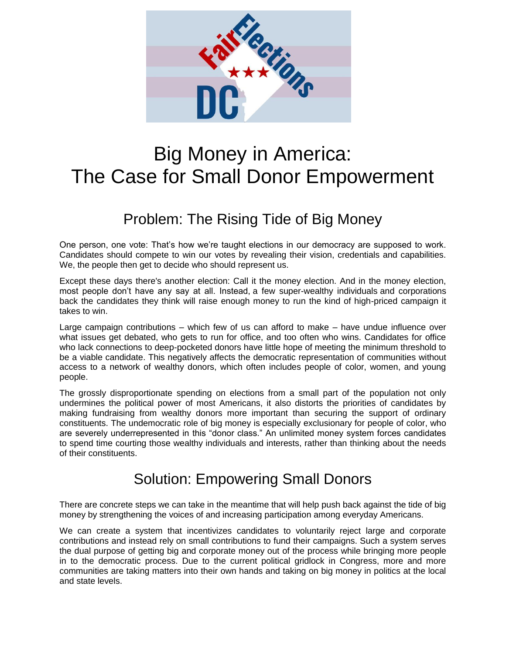

## Big Money in America: The Case for Small Donor Empowerment

## Problem: The Rising Tide of Big Money

One person, one vote: That's how we're taught elections in our democracy are supposed to work. Candidates should compete to win our votes by revealing their vision, credentials and capabilities. We, the people then get to decide who should represent us.

Except these days there's another election: Call it the money election. And in the money election, most people don't have any say at all. Instead, [a few super-wealthy individuals](http://www.nytimes.com/interactive/2015/10/11/us/politics/2016-presidential-election-super-pac-donors.html?_r=2) and corporations back the candidates they think will raise enough money to run the kind of high-priced campaign it takes to win.

Large campaign contributions – which few of us can afford to make – have undue influence over what issues get debated, who gets to run for office, and too often who wins. Candidates for office who lack connections to deep-pocketed donors have little hope of meeting the minimum threshold to be a viable candidate. This negatively affects the democratic representation of communities without access to a network of wealthy donors, which often includes people of color, women, and young people.

The grossly disproportionate spending on elections from a small part of the population not only undermines the political power of most Americans, it also distorts the priorities of candidates by making fundraising from wealthy donors more important than securing the support of ordinary constituents. The undemocratic role of big money is especially exclusionary for people of color, who are severely underrepresented in this "donor class." An unlimited money system forces candidates to spend time courting those wealthy individuals and interests, rather than thinking about the needs of their constituents.

## Solution: Empowering Small Donors

There are concrete steps we can take in the meantime that will help push back against the tide of big money by strengthening the voices of and increasing participation among everyday Americans.

We can create a system that incentivizes candidates to voluntarily reject large and corporate contributions and instead rely on small contributions to fund their campaigns. Such a system serves the dual purpose of getting big and corporate money out of the process while bringing more people in to the democratic process. Due to the current political gridlock in Congress, more and more communities are taking matters into their own hands and taking on big money in politics at the local and state levels.